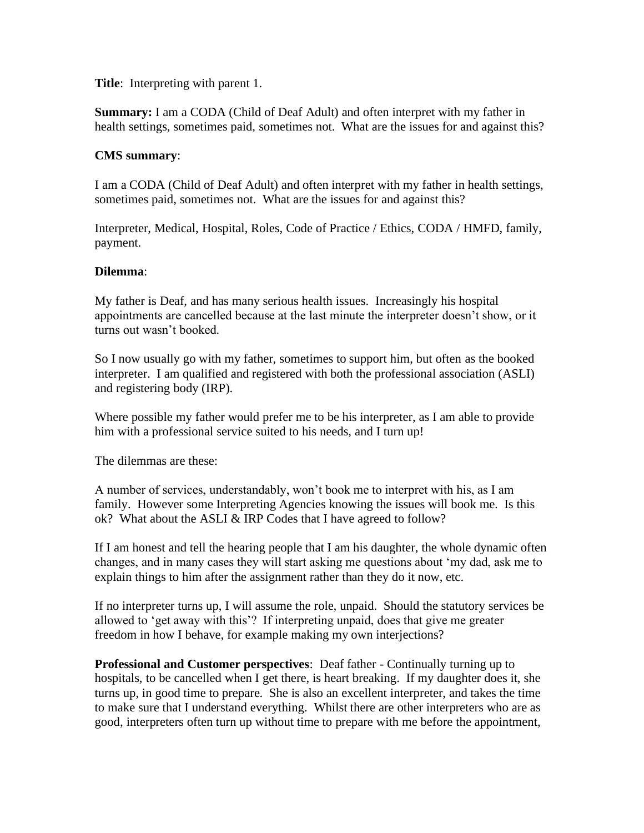**Title**: Interpreting with parent 1.

**Summary:** I am a CODA (Child of Deaf Adult) and often interpret with my father in health settings, sometimes paid, sometimes not. What are the issues for and against this?

## **CMS summary**:

I am a CODA (Child of Deaf Adult) and often interpret with my father in health settings, sometimes paid, sometimes not. What are the issues for and against this?

Interpreter, Medical, Hospital, Roles, Code of Practice / Ethics, CODA / HMFD, family, payment.

## **Dilemma**:

My father is Deaf, and has many serious health issues. Increasingly his hospital appointments are cancelled because at the last minute the interpreter doesn't show, or it turns out wasn't booked.

So I now usually go with my father, sometimes to support him, but often as the booked interpreter. I am qualified and registered with both the professional association (ASLI) and registering body (IRP).

Where possible my father would prefer me to be his interpreter, as I am able to provide him with a professional service suited to his needs, and I turn up!

The dilemmas are these:

A number of services, understandably, won't book me to interpret with his, as I am family. However some Interpreting Agencies knowing the issues will book me. Is this ok? What about the ASLI & IRP Codes that I have agreed to follow?

If I am honest and tell the hearing people that I am his daughter, the whole dynamic often changes, and in many cases they will start asking me questions about 'my dad, ask me to explain things to him after the assignment rather than they do it now, etc.

If no interpreter turns up, I will assume the role, unpaid. Should the statutory services be allowed to 'get away with this'? If interpreting unpaid, does that give me greater freedom in how I behave, for example making my own interjections?

**Professional and Customer perspectives**: Deaf father - Continually turning up to hospitals, to be cancelled when I get there, is heart breaking. If my daughter does it, she turns up, in good time to prepare. She is also an excellent interpreter, and takes the time to make sure that I understand everything. Whilst there are other interpreters who are as good, interpreters often turn up without time to prepare with me before the appointment,